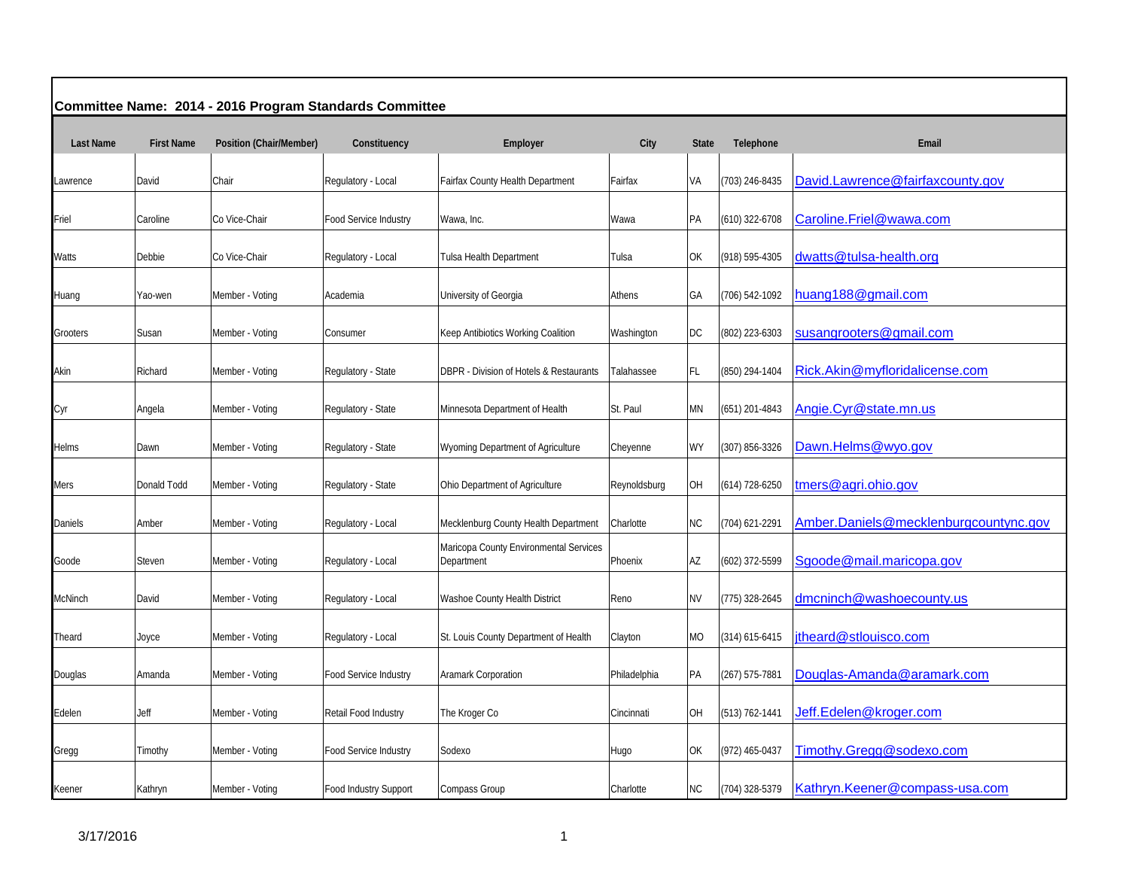| Committee Name: 2014 - 2016 Program Standards Committee |                   |                         |                       |                                                      |              |              |                    |                                       |  |  |
|---------------------------------------------------------|-------------------|-------------------------|-----------------------|------------------------------------------------------|--------------|--------------|--------------------|---------------------------------------|--|--|
| <b>Last Name</b>                                        | <b>First Name</b> | Position (Chair/Member) | Constituency          | Employer                                             | City         | <b>State</b> | Telephone          | Email                                 |  |  |
| Lawrence                                                | David             | Chair                   | Regulatory - Local    | Fairfax County Health Department                     | Fairfax      | VA           | (703) 246-8435     | David.Lawrence@fairfaxcounty.gov      |  |  |
| Friel                                                   | Caroline          | Co Vice-Chair           | Food Service Industry | Wawa, Inc.                                           | Wawa         | PA           | (610) 322-6708     | Caroline.Friel@wawa.com               |  |  |
| Watts                                                   | Debbie            | Co Vice-Chair           | Regulatory - Local    | Tulsa Health Department                              | Tulsa        | OK           | (918) 595-4305     | dwatts@tulsa-health.org               |  |  |
| Huang                                                   | Yao-wen           | Member - Voting         | Academia              | University of Georgia                                | Athens       | GА           | (706) 542-1092     | huang188@gmail.com                    |  |  |
| Grooters                                                | Susan             | Member - Voting         | Consumer              | Keep Antibiotics Working Coalition                   | Washington   | DC           | (802) 223-6303     | susangrooters@gmail.com               |  |  |
| Akin                                                    | Richard           | Member - Voting         | Regulatory - State    | DBPR - Division of Hotels & Restaurants              | Talahassee   | FL           | (850) 294-1404     | Rick.Akin@myfloridalicense.com        |  |  |
| Cyr                                                     | Angela            | Member - Voting         | Regulatory - State    | Minnesota Department of Health                       | St. Paul     | ΜN           | $(651)$ 201-4843   | Angie.Cyr@state.mn.us                 |  |  |
| Helms                                                   | Dawn              | Member - Voting         | Regulatory - State    | Wyoming Department of Agriculture                    | Cheyenne     | WY           | (307) 856-3326     | Dawn.Helms@wyo.gov                    |  |  |
| Mers                                                    | Donald Todd       | Member - Voting         | Regulatory - State    | Ohio Department of Agriculture                       | Reynoldsburg | OH           | $(614)$ 728-6250   | tmers@agri.ohio.gov                   |  |  |
| Daniels                                                 | Amber             | Member - Voting         | Regulatory - Local    | Mecklenburg County Health Department                 | Charlotte    | <b>NC</b>    | (704) 621-2291     | Amber.Daniels@mecklenburgcountync.gov |  |  |
| Goode                                                   | Steven            | Member - Voting         | Regulatory - Local    | Maricopa County Environmental Services<br>Department | Phoenix      | AZ           | (602) 372-5599     | Sgoode@mail.maricopa.gov              |  |  |
| McNinch                                                 | David             | Member - Voting         | Regulatory - Local    | Washoe County Health District                        | Reno         | <b>NV</b>    | (775) 328-2645     | dmcninch@washoecounty.us              |  |  |
| Theard                                                  | Joyce             | Member - Voting         | Regulatory - Local    | St. Louis County Department of Health                | Clayton      | <b>MO</b>    | $(314) 615 - 6415$ | jtheard@stlouisco.com                 |  |  |
| Douglas                                                 | Amanda            | Member - Voting         | Food Service Industry | Aramark Corporation                                  | Philadelphia | PA           | (267) 575-7881     | Douglas-Amanda@aramark.com            |  |  |
| Edelen                                                  | Jeff              | Member - Voting         | Retail Food Industry  | The Kroger Co                                        | Cincinnati   | OH           | (513) 762-1441     | Jeff.Edelen@kroger.com                |  |  |
| Gregg                                                   | Timothy           | Member - Voting         | Food Service Industry | Sodexo                                               | Hugo         | OK           | (972) 465-0437     | Timothy.Gregg@sodexo.com              |  |  |
| Keener                                                  | Kathryn           | Member - Voting         | Food Industry Support | Compass Group                                        | Charlotte    | ${\sf NC}$   | (704) 328-5379     | Kathryn.Keener@compass-usa.com        |  |  |